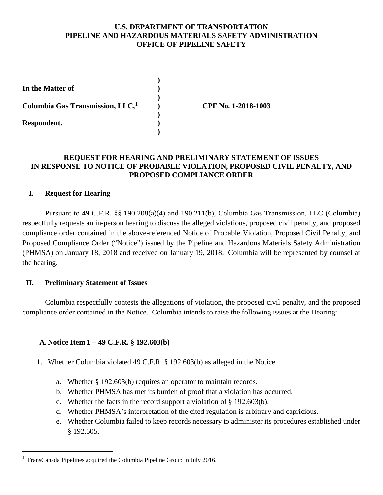### **U.S. DEPARTMENT OF TRANSPORTATION PIPELINE AND HAZARDOUS MATERIALS SAFETY ADMINISTRATION OFFICE OF PIPELINE SAFETY**

| In the Matter of                             |  |
|----------------------------------------------|--|
| Columbia Gas Transmission, LLC, <sup>1</sup> |  |
| Respondent.                                  |  |

**Columbia Gas Transmission, LLC,1 ) CPF No. 1-2018-1003**

# **REQUEST FOR HEARING AND PRELIMINARY STATEMENT OF ISSUES IN RESPONSE TO NOTICE OF PROBABLE VIOLATION, PROPOSED CIVIL PENALTY, AND PROPOSED COMPLIANCE ORDER**

### **I. Request for Hearing**

Pursuant to 49 C.F.R. §§ 190.208(a)(4) and 190.211(b), Columbia Gas Transmission, LLC (Columbia) respectfully requests an in-person hearing to discuss the alleged violations, proposed civil penalty, and proposed compliance order contained in the above-referenced Notice of Probable Violation, Proposed Civil Penalty, and Proposed Compliance Order ("Notice") issued by the Pipeline and Hazardous Materials Safety Administration (PHMSA) on January 18, 2018 and received on January 19, 2018. Columbia will be represented by counsel at the hearing.

#### **II. Preliminary Statement of Issues**

Columbia respectfully contests the allegations of violation, the proposed civil penalty, and the proposed compliance order contained in the Notice. Columbia intends to raise the following issues at the Hearing:

# **A. Notice Item 1 – 49 C.F.R. § 192.603(b)**

- 1. Whether Columbia violated 49 C.F.R. § 192.603(b) as alleged in the Notice.
	- a. Whether § 192.603(b) requires an operator to maintain records.
	- b. Whether PHMSA has met its burden of proof that a violation has occurred.
	- c. Whether the facts in the record support a violation of § 192.603(b).
	- d. Whether PHMSA's interpretation of the cited regulation is arbitrary and capricious.
	- e. Whether Columbia failed to keep records necessary to administer its procedures established under § 192.605.

<sup>&</sup>lt;sup>1</sup> TransCanada Pipelines acquired the Columbia Pipeline Group in July 2016.